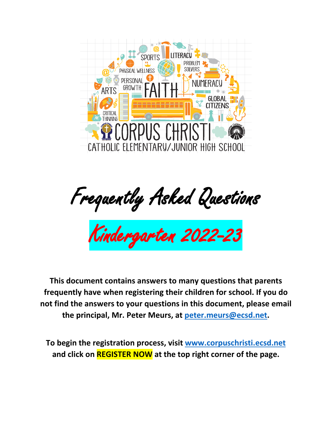

Frequently Asked Questions

Kindergarten 2022-23

**This document contains answers to many questions that parents frequently have when registering their children for school. If you do not find the answers to your questions in this document, please email the principal, Mr. Peter Meurs, at [peter.meurs@ecsd.net.](mailto:peter.meurs@ecsd.net)**

**To begin the registration process, visit [www.corpuschristi.ecsd.net](http://www.corpuschristi.ecsd.net/) and click on REGISTER NOW at the top right corner of the page.**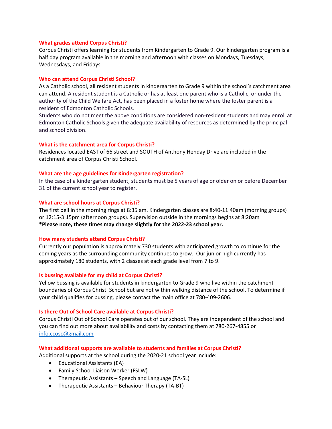## **What grades attend Corpus Christi?**

Corpus Christi offers learning for students from Kindergarten to Grade 9. Our kindergarten program is a half day program available in the morning and afternoon with classes on Mondays, Tuesdays, Wednesdays, and Fridays.

## **Who can attend Corpus Christi School?**

As a Catholic school, all resident students in kindergarten to Grade 9 within the school's catchment area can attend. A resident student is a Catholic or has at least one parent who is a Catholic, or under the authority of the Child Welfare Act, has been placed in a foster home where the foster parent is a resident of Edmonton Catholic Schools.

Students who do not meet the above conditions are considered non-resident students and may enroll at Edmonton Catholic Schools given the adequate availability of resources as determined by the principal and school division.

### **What is the catchment area for Corpus Christi?**

Residences located EAST of 66 street and SOUTH of Anthony Henday Drive are included in the catchment area of Corpus Christi School.

## **What are the age guidelines for Kindergarten registration?**

In the case of a kindergarten student, students must be 5 years of age or older on or before December 31 of the current school year to register.

## **What are school hours at Corpus Christi?**

The first bell in the morning rings at 8:35 am. Kindergarten classes are 8:40-11:40am (morning groups) or 12:15-3:15pm (afternoon groups). Supervision outside in the mornings begins at 8:20am **\*Please note, these times may change slightly for the 2022-23 school year.**

### **How many students attend Corpus Christi?**

Currently our population is approximately 730 students with anticipated growth to continue for the coming years as the surrounding community continues to grow. Our junior high currently has approximately 180 students, with 2 classes at each grade level from 7 to 9.

## **Is bussing available for my child at Corpus Christi?**

Yellow bussing is available for students in kindergarten to Grade 9 who live within the catchment boundaries of Corpus Christi School but are not within walking distance of the school. To determine if your child qualifies for bussing, please contact the main office at 780-409-2606.

#### **Is there Out of School Care available at Corpus Christi?**

Corpus Christi Out of School Care operates out of our school. They are independent of the school and you can find out more about availability and costs by contacting them at 780-267-4855 or [info.ccosc@gmail.com](mailto:info.ccosc@gmail.com)

## **What additional supports are available to students and families at Corpus Christi?**

Additional supports at the school during the 2020-21 school year include:

- Educational Assistants (EA)
- Family School Liaison Worker (FSLW)
- Therapeutic Assistants Speech and Language (TA-SL)
- Therapeutic Assistants Behaviour Therapy (TA-BT)